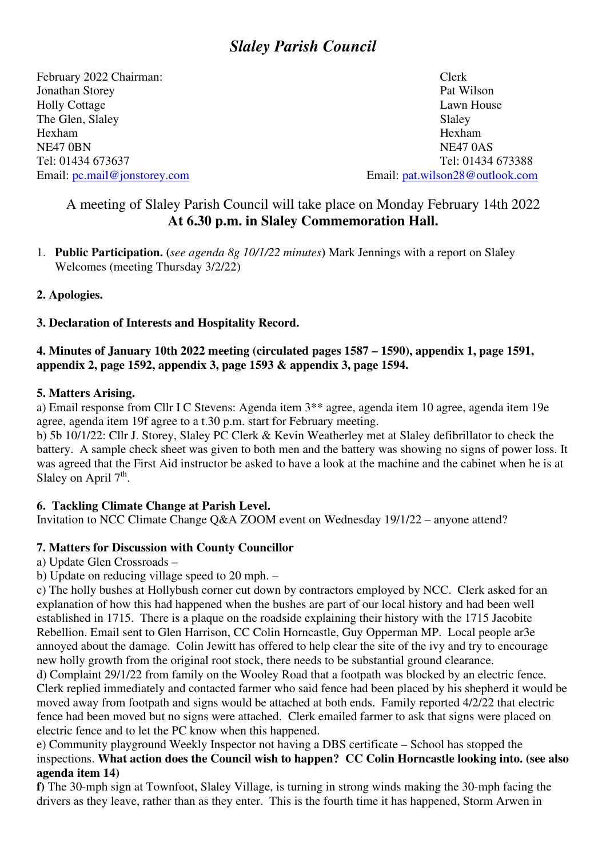# *Slaley Parish Council*

February 2022 Chairman: Clerk Clerk Clerk Clerk Clerk Pat Wilson Jonathan Storey Holly Cottage Lawn House Lawn House The Glen, Slaley Slaley Hexham Hexham NE47 OBN NE47 OAS Email: pc.mail@jonstorey.com Email: pat.wilson28@outlook.com

Tel: 01434 673637 Tel: 01434 673388

## A meeting of Slaley Parish Council will take place on Monday February 14th 2022 **At 6.30 p.m. in Slaley Commemoration Hall.**

1. **Public Participation. (***see agenda 8g 10/1/22 minutes***)** Mark Jennings with a report on Slaley Welcomes (meeting Thursday 3/2/22)

## **2. Apologies.**

## **3. Declaration of Interests and Hospitality Record.**

#### **4. Minutes of January 10th 2022 meeting (circulated pages 1587 – 1590), appendix 1, page 1591, appendix 2, page 1592, appendix 3, page 1593 & appendix 3, page 1594.**

#### **5. Matters Arising.**

a) Email response from Cllr I C Stevens: Agenda item 3\*\* agree, agenda item 10 agree, agenda item 19e agree, agenda item 19f agree to a t.30 p.m. start for February meeting.

b) 5b 10/1/22: Cllr J. Storey, Slaley PC Clerk & Kevin Weatherley met at Slaley defibrillator to check the battery. A sample check sheet was given to both men and the battery was showing no signs of power loss. It was agreed that the First Aid instructor be asked to have a look at the machine and the cabinet when he is at Slaley on April  $7<sup>th</sup>$ .

## **6. Tackling Climate Change at Parish Level.**

Invitation to NCC Climate Change Q&A ZOOM event on Wednesday 19/1/22 – anyone attend?

## **7. Matters for Discussion with County Councillor**

a) Update Glen Crossroads –

b) Update on reducing village speed to 20 mph. –

c) The holly bushes at Hollybush corner cut down by contractors employed by NCC. Clerk asked for an explanation of how this had happened when the bushes are part of our local history and had been well established in 1715. There is a plaque on the roadside explaining their history with the 1715 Jacobite Rebellion. Email sent to Glen Harrison, CC Colin Horncastle, Guy Opperman MP. Local people ar3e annoyed about the damage. Colin Jewitt has offered to help clear the site of the ivy and try to encourage new holly growth from the original root stock, there needs to be substantial ground clearance.

d) Complaint 29/1/22 from family on the Wooley Road that a footpath was blocked by an electric fence. Clerk replied immediately and contacted farmer who said fence had been placed by his shepherd it would be moved away from footpath and signs would be attached at both ends. Family reported 4/2/22 that electric fence had been moved but no signs were attached. Clerk emailed farmer to ask that signs were placed on electric fence and to let the PC know when this happened.

e) Community playground Weekly Inspector not having a DBS certificate – School has stopped the inspections. **What action does the Council wish to happen? CC Colin Horncastle looking into. (see also agenda item 14)** 

**f)** The 30-mph sign at Townfoot, Slaley Village, is turning in strong winds making the 30-mph facing the drivers as they leave, rather than as they enter. This is the fourth time it has happened, Storm Arwen in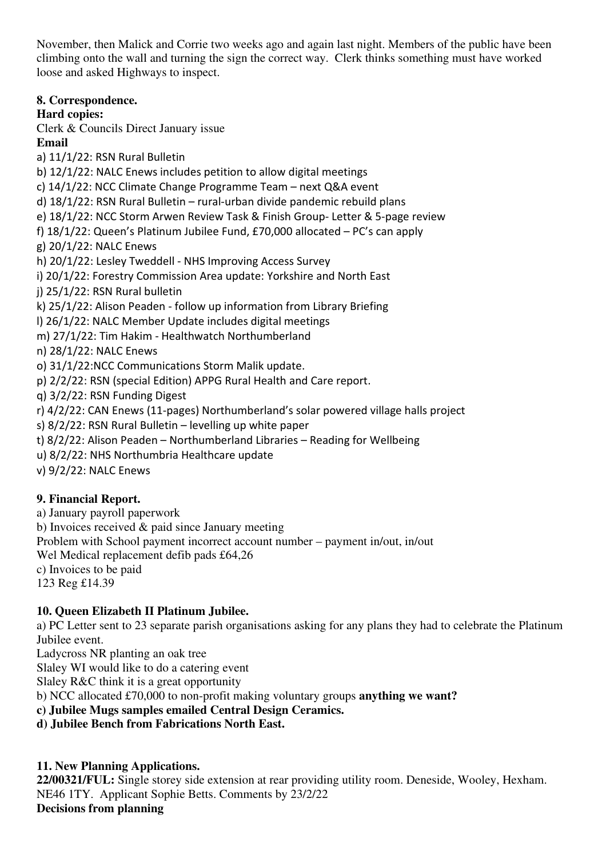November, then Malick and Corrie two weeks ago and again last night. Members of the public have been climbing onto the wall and turning the sign the correct way. Clerk thinks something must have worked loose and asked Highways to inspect.

**8. Correspondence.** 

## **Hard copies:**

Clerk & Councils Direct January issue

**Email** 

a) 11/1/22: RSN Rural Bulletin

b) 12/1/22: NALC Enews includes petition to allow digital meetings

c) 14/1/22: NCC Climate Change Programme Team – next Q&A event

d) 18/1/22: RSN Rural Bulletin – rural-urban divide pandemic rebuild plans

e) 18/1/22: NCC Storm Arwen Review Task & Finish Group- Letter & 5-page review

f) 18/1/22: Queen's Platinum Jubilee Fund, £70,000 allocated – PC's can apply

g) 20/1/22: NALC Enews

h) 20/1/22: Lesley Tweddell - NHS Improving Access Survey

i) 20/1/22: Forestry Commission Area update: Yorkshire and North East

j) 25/1/22: RSN Rural bulletin

k) 25/1/22: Alison Peaden - follow up information from Library Briefing

l) 26/1/22: NALC Member Update includes digital meetings

m) 27/1/22: Tim Hakim - Healthwatch Northumberland

n) 28/1/22: NALC Enews

o) 31/1/22:NCC Communications Storm Malik update.

p) 2/2/22: RSN (special Edition) APPG Rural Health and Care report.

q) 3/2/22: RSN Funding Digest

r) 4/2/22: CAN Enews (11-pages) Northumberland's solar powered village halls project

s) 8/2/22: RSN Rural Bulletin – levelling up white paper

t) 8/2/22: Alison Peaden – Northumberland Libraries – Reading for Wellbeing

u) 8/2/22: NHS Northumbria Healthcare update

v) 9/2/22: NALC Enews

## **9. Financial Report.**

a) January payroll paperwork

b) Invoices received & paid since January meeting

Problem with School payment incorrect account number – payment in/out, in/out

Wel Medical replacement defib pads £64,26

c) Invoices to be paid

123 Reg £14.39

## **10. Queen Elizabeth II Platinum Jubilee.**

a) PC Letter sent to 23 separate parish organisations asking for any plans they had to celebrate the Platinum Jubilee event.

Ladycross NR planting an oak tree

Slaley WI would like to do a catering event

Slaley R&C think it is a great opportunity

b) NCC allocated £70,000 to non-profit making voluntary groups **anything we want?** 

**c) Jubilee Mugs samples emailed Central Design Ceramics.** 

**d) Jubilee Bench from Fabrications North East.** 

## **11. New Planning Applications.**

**22/00321/FUL:** Single storey side extension at rear providing utility room. Deneside, Wooley, Hexham. NE46 1TY. Applicant Sophie Betts. Comments by 23/2/22 **Decisions from planning**